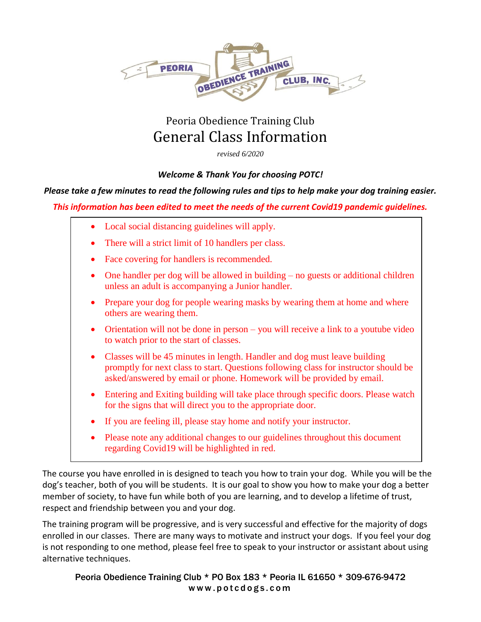

# Peoria Obedience Training Club General Class Information

*revised 6/2020*

### *Welcome & Thank You for choosing POTC!*

#### *Please take a few minutes to read the following rules and tips to help make your dog training easier.*

#### *This information has been edited to meet the needs of the current Covid19 pandemic guidelines.*

- Local social distancing guidelines will apply.
- There will a strict limit of 10 handlers per class.
- Face covering for handlers is recommended.
- One handler per dog will be allowed in building no guests or additional children unless an adult is accompanying a Junior handler.
- Prepare your dog for people wearing masks by wearing them at home and where others are wearing them.
- Orientation will not be done in person you will receive a link to a youtube video to watch prior to the start of classes.
- Classes will be 45 minutes in length. Handler and dog must leave building promptly for next class to start. Questions following class for instructor should be asked/answered by email or phone. Homework will be provided by email.
- Entering and Exiting building will take place through specific doors. Please watch for the signs that will direct you to the appropriate door.
- If you are feeling ill, please stay home and notify your instructor.
- Please note any additional changes to our guidelines throughout this document regarding Covid19 will be highlighted in red.

The course you have enrolled in is designed to teach you how to train your dog. While you will be the dog's teacher, both of you will be students. It is our goal to show you how to make your dog a better member of society, to have fun while both of you are learning, and to develop a lifetime of trust, respect and friendship between you and your dog.

The training program will be progressive, and is very successful and effective for the majority of dogs enrolled in our classes. There are many ways to motivate and instruct your dogs. If you feel your dog is not responding to one method, please feel free to speak to your instructor or assistant about using alternative techniques.

Peoria Obedience Training Club \* PO Box 183 \* Peoria IL 61650 \* 309-676-9472 www.potcdogs.com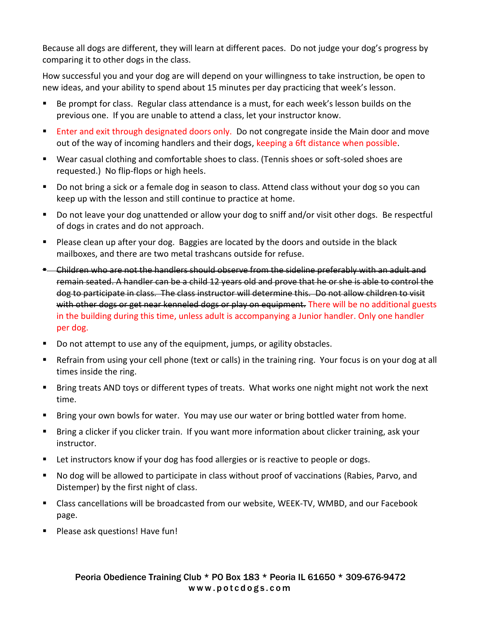Because all dogs are different, they will learn at different paces. Do not judge your dog's progress by comparing it to other dogs in the class.

How successful you and your dog are will depend on your willingness to take instruction, be open to new ideas, and your ability to spend about 15 minutes per day practicing that week's lesson.

- Be prompt for class. Regular class attendance is a must, for each week's lesson builds on the previous one. If you are unable to attend a class, let your instructor know.
- **Enter and exit through designated doors only.** Do not congregate inside the Main door and move out of the way of incoming handlers and their dogs, keeping a 6ft distance when possible.
- Wear casual clothing and comfortable shoes to class. (Tennis shoes or soft-soled shoes are requested.) No flip-flops or high heels.
- Do not bring a sick or a female dog in season to class. Attend class without your dog so you can keep up with the lesson and still continue to practice at home.
- Do not leave your dog unattended or allow your dog to sniff and/or visit other dogs. Be respectful of dogs in crates and do not approach.
- **Please clean up after your dog. Baggies are located by the doors and outside in the black** mailboxes, and there are two metal trashcans outside for refuse.
- **E** Children who are not the handlers should observe from the sideline preferably with an adult and remain seated. A handler can be a child 12 years old and prove that he or she is able to control the dog to participate in class. The class instructor will determine this. Do not allow children to visit with other dogs or get near kenneled dogs or play on equipment. There will be no additional guests in the building during this time, unless adult is accompanying a Junior handler. Only one handler per dog.
- Do not attempt to use any of the equipment, jumps, or agility obstacles.
- Refrain from using your cell phone (text or calls) in the training ring. Your focus is on your dog at all times inside the ring.
- Bring treats AND toys or different types of treats. What works one night might not work the next time.
- **Bring your own bowls for water. You may use our water or bring bottled water from home.**
- Bring a clicker if you clicker train. If you want more information about clicker training, ask your instructor.
- Let instructors know if your dog has food allergies or is reactive to people or dogs.
- No dog will be allowed to participate in class without proof of vaccinations (Rabies, Parvo, and Distemper) by the first night of class.
- Class cancellations will be broadcasted from our website, WEEK-TV, WMBD, and our Facebook page.
- **Please ask questions! Have fun!**

#### Peoria Obedience Training Club \* PO Box 183 \* Peoria IL 61650 \* 309-676-9472 www.potcdogs.com